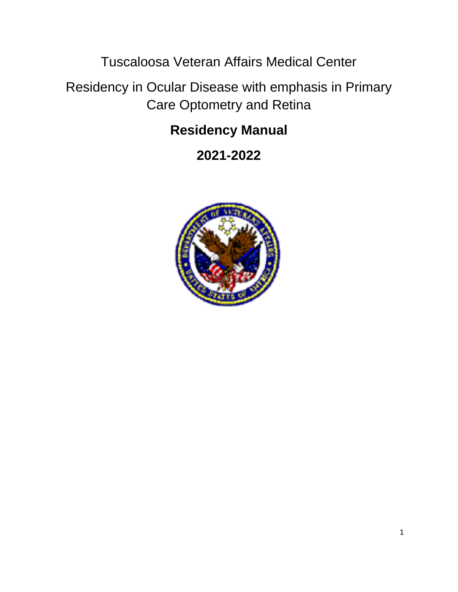Tuscaloosa Veteran Affairs Medical Center

Residency in Ocular Disease with emphasis in Primary Care Optometry and Retina

# **Residency Manual**

**2021-2022**

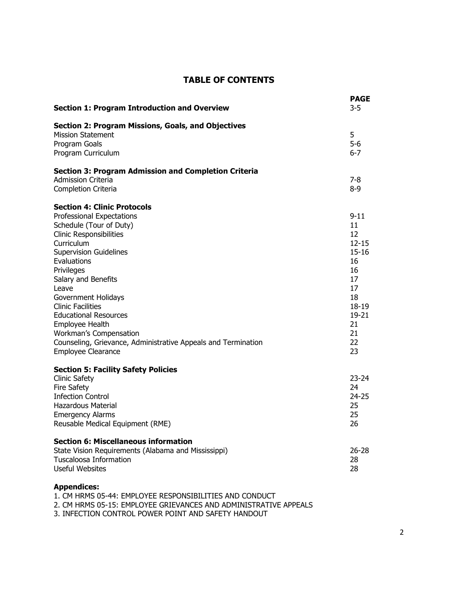#### **TABLE OF CONTENTS**

| <b>Section 1: Program Introduction and Overview</b>                                                                                                                                                                                                                                                                                                                                                                                                                           | <b>PAGE</b><br>$3 - 5$                                                                                                 |
|-------------------------------------------------------------------------------------------------------------------------------------------------------------------------------------------------------------------------------------------------------------------------------------------------------------------------------------------------------------------------------------------------------------------------------------------------------------------------------|------------------------------------------------------------------------------------------------------------------------|
| Section 2: Program Missions, Goals, and Objectives<br><b>Mission Statement</b><br>Program Goals<br>Program Curriculum                                                                                                                                                                                                                                                                                                                                                         | 5<br>$5 - 6$<br>6-7                                                                                                    |
| <b>Section 3: Program Admission and Completion Criteria</b><br><b>Admission Criteria</b><br>Completion Criteria                                                                                                                                                                                                                                                                                                                                                               | $7-8$<br>8-9                                                                                                           |
| <b>Section 4: Clinic Protocols</b><br><b>Professional Expectations</b><br>Schedule (Tour of Duty)<br><b>Clinic Responsibilities</b><br>Curriculum<br><b>Supervision Guidelines</b><br>Evaluations<br>Privileges<br>Salary and Benefits<br>Leave<br>Government Holidays<br><b>Clinic Facilities</b><br><b>Educational Resources</b><br>Employee Health<br>Workman's Compensation<br>Counseling, Grievance, Administrative Appeals and Termination<br><b>Employee Clearance</b> | $9 - 11$<br>11<br>12<br>$12 - 15$<br>15-16<br>16<br>16<br>17<br>17<br>18<br>18-19<br>$19 - 21$<br>21<br>21<br>22<br>23 |
| <b>Section 5: Facility Safety Policies</b><br><b>Clinic Safety</b><br><b>Fire Safety</b><br><b>Infection Control</b><br><b>Hazardous Material</b><br><b>Emergency Alarms</b><br>Reusable Medical Equipment (RME)                                                                                                                                                                                                                                                              | $23 - 24$<br>24<br>$24 - 25$<br>25<br>25<br>26                                                                         |
| <b>Section 6: Miscellaneous information</b><br>State Vision Requirements (Alabama and Mississippi)<br><b>Tuscaloosa Information</b><br>Useful Websites                                                                                                                                                                                                                                                                                                                        | $26 - 28$<br>28<br>28                                                                                                  |

#### **Appendices:**

1. CM HRMS 05-44: EMPLOYEE RESPONSIBILITIES AND CONDUCT

2. CM HRMS 05-15: EMPLOYEE GRIEVANCES AND ADMINISTRATIVE APPEALS

3. INFECTION CONTROL POWER POINT AND SAFETY HANDOUT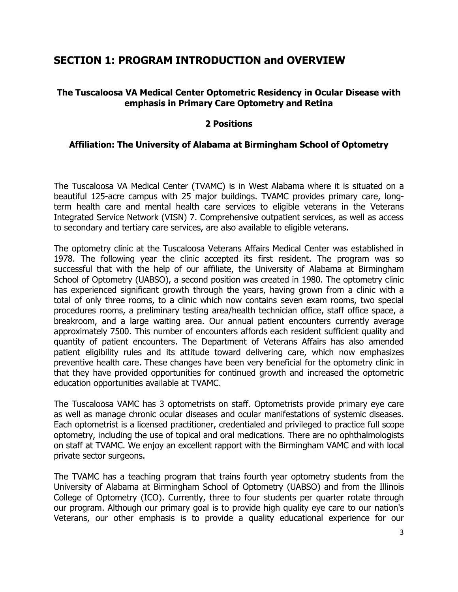## **SECTION 1: PROGRAM INTRODUCTION and OVERVIEW**

#### **The Tuscaloosa VA Medical Center Optometric Residency in Ocular Disease with emphasis in Primary Care Optometry and Retina**

#### **2 Positions**

#### **Affiliation: The University of Alabama at Birmingham School of Optometry**

The Tuscaloosa VA Medical Center (TVAMC) is in West Alabama where it is situated on a beautiful 125-acre campus with 25 major buildings. TVAMC provides primary care, longterm health care and mental health care services to eligible veterans in the Veterans Integrated Service Network (VISN) 7. Comprehensive outpatient services, as well as access to secondary and tertiary care services, are also available to eligible veterans.

The optometry clinic at the Tuscaloosa Veterans Affairs Medical Center was established in 1978. The following year the clinic accepted its first resident. The program was so successful that with the help of our affiliate, the University of Alabama at Birmingham School of Optometry (UABSO), a second position was created in 1980. The optometry clinic has experienced significant growth through the years, having grown from a clinic with a total of only three rooms, to a clinic which now contains seven exam rooms, two special procedures rooms, a preliminary testing area/health technician office, staff office space, a breakroom, and a large waiting area. Our annual patient encounters currently average approximately 7500. This number of encounters affords each resident sufficient quality and quantity of patient encounters. The Department of Veterans Affairs has also amended patient eligibility rules and its attitude toward delivering care, which now emphasizes preventive health care. These changes have been very beneficial for the optometry clinic in that they have provided opportunities for continued growth and increased the optometric education opportunities available at TVAMC.

The Tuscaloosa VAMC has 3 optometrists on staff. Optometrists provide primary eye care as well as manage chronic ocular diseases and ocular manifestations of systemic diseases. Each optometrist is a licensed practitioner, credentialed and privileged to practice full scope optometry, including the use of topical and oral medications. There are no ophthalmologists on staff at TVAMC. We enjoy an excellent rapport with the Birmingham VAMC and with local private sector surgeons.

The TVAMC has a teaching program that trains fourth year optometry students from the University of Alabama at Birmingham School of Optometry (UABSO) and from the Illinois College of Optometry (ICO). Currently, three to four students per quarter rotate through our program. Although our primary goal is to provide high quality eye care to our nation's Veterans, our other emphasis is to provide a quality educational experience for our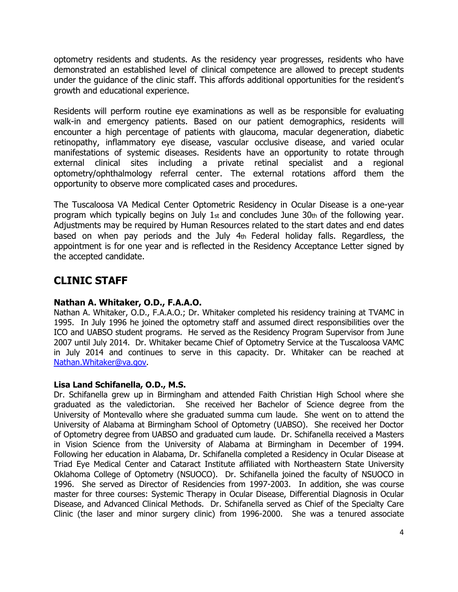optometry residents and students. As the residency year progresses, residents who have demonstrated an established level of clinical competence are allowed to precept students under the guidance of the clinic staff. This affords additional opportunities for the resident's growth and educational experience.

Residents will perform routine eye examinations as well as be responsible for evaluating walk-in and emergency patients. Based on our patient demographics, residents will encounter a high percentage of patients with glaucoma, macular degeneration, diabetic retinopathy, inflammatory eye disease, vascular occlusive disease, and varied ocular manifestations of systemic diseases. Residents have an opportunity to rotate through external clinical sites including a private retinal specialist and a regional optometry/ophthalmology referral center. The external rotations afford them the opportunity to observe more complicated cases and procedures.

The Tuscaloosa VA Medical Center Optometric Residency in Ocular Disease is a one-year program which typically begins on July 1 $_{\rm st}$  and concludes June 30 $_{\rm th}$  of the following year. Adjustments may be required by Human Resources related to the start dates and end dates based on when pay periods and the July 4th Federal holiday falls. Regardless, the appointment is for one year and is reflected in the Residency Acceptance Letter signed by the accepted candidate.

## **CLINIC STAFF**

### **Nathan A. Whitaker, O.D., F.A.A.O.**

Nathan A. Whitaker, O.D., F.A.A.O.; Dr. Whitaker completed his residency training at TVAMC in 1995. In July 1996 he joined the optometry staff and assumed direct responsibilities over the ICO and UABSO student programs. He served as the Residency Program Supervisor from June 2007 until July 2014. Dr. Whitaker became Chief of Optometry Service at the Tuscaloosa VAMC in July 2014 and continues to serve in this capacity. Dr. Whitaker can be reached at [Nathan.Whitaker@va.gov.](mailto:Nathan.Whitaker@va.gov)

#### **Lisa Land Schifanella, O.D., M.S.**

Dr. Schifanella grew up in Birmingham and attended Faith Christian High School where she graduated as the valedictorian. She received her Bachelor of Science degree from the University of Montevallo where she graduated summa cum laude. She went on to attend the University of Alabama at Birmingham School of Optometry (UABSO). She received her Doctor of Optometry degree from UABSO and graduated cum laude. Dr. Schifanella received a Masters in Vision Science from the University of Alabama at Birmingham in December of 1994. Following her education in Alabama, Dr. Schifanella completed a Residency in Ocular Disease at Triad Eye Medical Center and Cataract Institute affiliated with Northeastern State University Oklahoma College of Optometry (NSUOCO). Dr. Schifanella joined the faculty of NSUOCO in 1996. She served as Director of Residencies from 1997-2003. In addition, she was course master for three courses: Systemic Therapy in Ocular Disease, Differential Diagnosis in Ocular Disease, and Advanced Clinical Methods. Dr. Schifanella served as Chief of the Specialty Care Clinic (the laser and minor surgery clinic) from 1996-2000. She was a tenured associate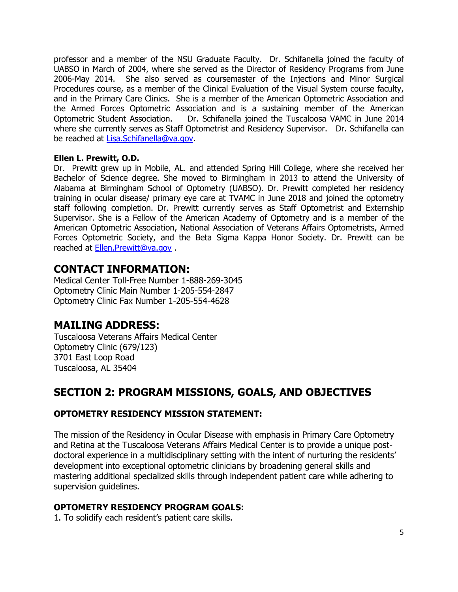professor and a member of the NSU Graduate Faculty. Dr. Schifanella joined the faculty of UABSO in March of 2004, where she served as the Director of Residency Programs from June 2006-May 2014. She also served as coursemaster of the Injections and Minor Surgical Procedures course, as a member of the Clinical Evaluation of the Visual System course faculty, and in the Primary Care Clinics. She is a member of the American Optometric Association and the Armed Forces Optometric Association and is a sustaining member of the American Optometric Student Association. Dr. Schifanella joined the Tuscaloosa VAMC in June 2014 where she currently serves as Staff Optometrist and Residency Supervisor. Dr. Schifanella can be reached at [Lisa.Schifanella@va.gov.](mailto:Lisa.Schifanella@va.gov)

#### **Ellen L. Prewitt, O.D.**

Dr. Prewitt grew up in Mobile, AL. and attended Spring Hill College, where she received her Bachelor of Science degree. She moved to Birmingham in 2013 to attend the University of Alabama at Birmingham School of Optometry (UABSO). Dr. Prewitt completed her residency training in ocular disease/ primary eye care at TVAMC in June 2018 and joined the optometry staff following completion. Dr. Prewitt currently serves as Staff Optometrist and Externship Supervisor. She is a Fellow of the American Academy of Optometry and is a member of the American Optometric Association, National Association of Veterans Affairs Optometrists, Armed Forces Optometric Society, and the Beta Sigma Kappa Honor Society. Dr. Prewitt can be reached at [Ellen.Prewitt@va.gov](mailto:Ellen.Prewitt@va.gov) .

## **CONTACT INFORMATION:**

Medical Center Toll-Free Number 1-888-269-3045 Optometry Clinic Main Number 1-205-554-2847 Optometry Clinic Fax Number 1-205-554-4628

## **MAILING ADDRESS:**

Tuscaloosa Veterans Affairs Medical Center Optometry Clinic (679/123) 3701 East Loop Road Tuscaloosa, AL 35404

## **SECTION 2: PROGRAM MISSIONS, GOALS, AND OBJECTIVES**

#### **OPTOMETRY RESIDENCY MISSION STATEMENT:**

The mission of the Residency in Ocular Disease with emphasis in Primary Care Optometry and Retina at the Tuscaloosa Veterans Affairs Medical Center is to provide a unique postdoctoral experience in a multidisciplinary setting with the intent of nurturing the residents' development into exceptional optometric clinicians by broadening general skills and mastering additional specialized skills through independent patient care while adhering to supervision guidelines.

#### **OPTOMETRY RESIDENCY PROGRAM GOALS:**

1. To solidify each resident's patient care skills.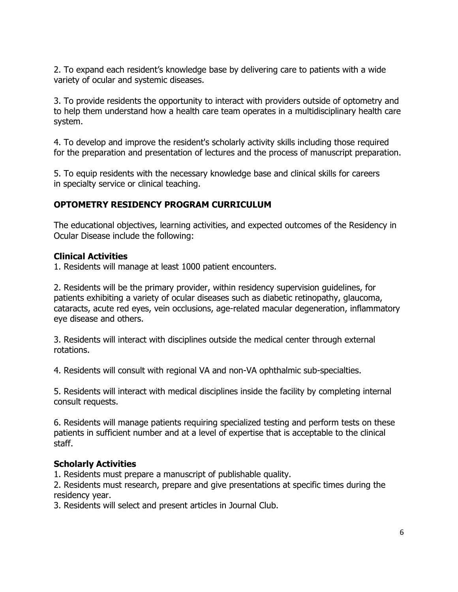2. To expand each resident's knowledge base by delivering care to patients with a wide variety of ocular and systemic diseases.

3. To provide residents the opportunity to interact with providers outside of optometry and to help them understand how a health care team operates in a multidisciplinary health care system.

4. To develop and improve the resident's scholarly activity skills including those required for the preparation and presentation of lectures and the process of manuscript preparation.

5. To equip residents with the necessary knowledge base and clinical skills for careers in specialty service or clinical teaching.

### **OPTOMETRY RESIDENCY PROGRAM CURRICULUM**

The educational objectives, learning activities, and expected outcomes of the Residency in Ocular Disease include the following:

### **Clinical Activities**

1. Residents will manage at least 1000 patient encounters.

2. Residents will be the primary provider, within residency supervision guidelines, for patients exhibiting a variety of ocular diseases such as diabetic retinopathy, glaucoma, cataracts, acute red eyes, vein occlusions, age-related macular degeneration, inflammatory eye disease and others.

3. Residents will interact with disciplines outside the medical center through external rotations.

4. Residents will consult with regional VA and non-VA ophthalmic sub-specialties.

5. Residents will interact with medical disciplines inside the facility by completing internal consult requests.

6. Residents will manage patients requiring specialized testing and perform tests on these patients in sufficient number and at a level of expertise that is acceptable to the clinical staff.

### **Scholarly Activities**

1. Residents must prepare a manuscript of publishable quality.

2. Residents must research, prepare and give presentations at specific times during the residency year.

3. Residents will select and present articles in Journal Club.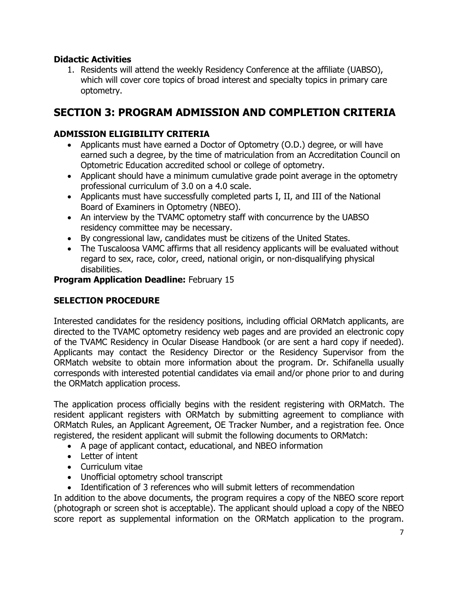### **Didactic Activities**

1. Residents will attend the weekly Residency Conference at the affiliate (UABSO), which will cover core topics of broad interest and specialty topics in primary care optometry.

## **SECTION 3: PROGRAM ADMISSION AND COMPLETION CRITERIA**

### **ADMISSION ELIGIBILITY CRITERIA**

- Applicants must have earned a Doctor of Optometry (O.D.) degree, or will have earned such a degree, by the time of matriculation from an Accreditation Council on Optometric Education accredited school or college of optometry.
- Applicant should have a minimum cumulative grade point average in the optometry professional curriculum of 3.0 on a 4.0 scale.
- Applicants must have successfully completed parts I, II, and III of the National Board of Examiners in Optometry (NBEO).
- An interview by the TVAMC optometry staff with concurrence by the UABSO residency committee may be necessary.
- By congressional law, candidates must be citizens of the United States.
- The Tuscaloosa VAMC affirms that all residency applicants will be evaluated without regard to sex, race, color, creed, national origin, or non-disqualifying physical disabilities.

#### **Program Application Deadline:** February 15

#### **SELECTION PROCEDURE**

Interested candidates for the residency positions, including official ORMatch applicants, are directed to the TVAMC optometry residency web pages and are provided an electronic copy of the TVAMC Residency in Ocular Disease Handbook (or are sent a hard copy if needed). Applicants may contact the Residency Director or the Residency Supervisor from the ORMatch website to obtain more information about the program. Dr. Schifanella usually corresponds with interested potential candidates via email and/or phone prior to and during the ORMatch application process.

The application process officially begins with the resident registering with ORMatch. The resident applicant registers with ORMatch by submitting agreement to compliance with ORMatch Rules, an Applicant Agreement, OE Tracker Number, and a registration fee. Once registered, the resident applicant will submit the following documents to ORMatch:

- A page of applicant contact, educational, and NBEO information
- Letter of intent
- Curriculum vitae
- Unofficial optometry school transcript
- Identification of 3 references who will submit letters of recommendation

In addition to the above documents, the program requires a copy of the NBEO score report (photograph or screen shot is acceptable). The applicant should upload a copy of the NBEO score report as supplemental information on the ORMatch application to the program.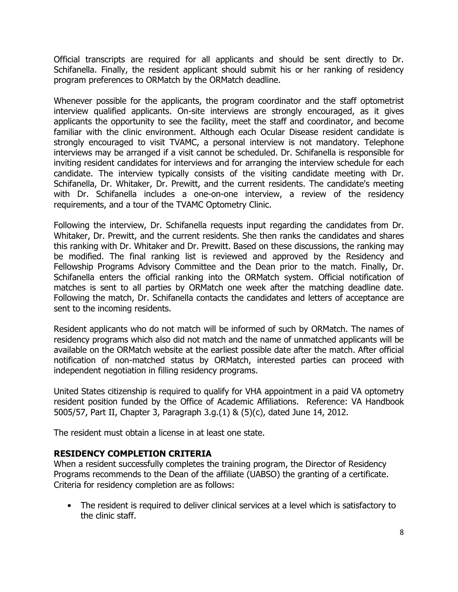Official transcripts are required for all applicants and should be sent directly to Dr. Schifanella. Finally, the resident applicant should submit his or her ranking of residency program preferences to ORMatch by the ORMatch deadline.

Whenever possible for the applicants, the program coordinator and the staff optometrist interview qualified applicants. On-site interviews are strongly encouraged, as it gives applicants the opportunity to see the facility, meet the staff and coordinator, and become familiar with the clinic environment. Although each Ocular Disease resident candidate is strongly encouraged to visit TVAMC, a personal interview is not mandatory. Telephone interviews may be arranged if a visit cannot be scheduled. Dr. Schifanella is responsible for inviting resident candidates for interviews and for arranging the interview schedule for each candidate. The interview typically consists of the visiting candidate meeting with Dr. Schifanella, Dr. Whitaker, Dr. Prewitt, and the current residents. The candidate's meeting with Dr. Schifanella includes a one-on-one interview, a review of the residency requirements, and a tour of the TVAMC Optometry Clinic.

Following the interview, Dr. Schifanella requests input regarding the candidates from Dr. Whitaker, Dr. Prewitt, and the current residents. She then ranks the candidates and shares this ranking with Dr. Whitaker and Dr. Prewitt. Based on these discussions, the ranking may be modified. The final ranking list is reviewed and approved by the Residency and Fellowship Programs Advisory Committee and the Dean prior to the match. Finally, Dr. Schifanella enters the official ranking into the ORMatch system. Official notification of matches is sent to all parties by ORMatch one week after the matching deadline date. Following the match, Dr. Schifanella contacts the candidates and letters of acceptance are sent to the incoming residents.

Resident applicants who do not match will be informed of such by ORMatch. The names of residency programs which also did not match and the name of unmatched applicants will be available on the ORMatch website at the earliest possible date after the match. After official notification of non-matched status by ORMatch, interested parties can proceed with independent negotiation in filling residency programs.

United States citizenship is required to qualify for VHA appointment in a paid VA optometry resident position funded by the Office of Academic Affiliations. Reference: VA Handbook 5005/57, Part II, Chapter 3, Paragraph 3.g.(1) & (5)(c), dated June 14, 2012.

The resident must obtain a license in at least one state.

#### **RESIDENCY COMPLETION CRITERIA**

When a resident successfully completes the training program, the Director of Residency Programs recommends to the Dean of the affiliate (UABSO) the granting of a certificate. Criteria for residency completion are as follows:

• The resident is required to deliver clinical services at a level which is satisfactory to the clinic staff.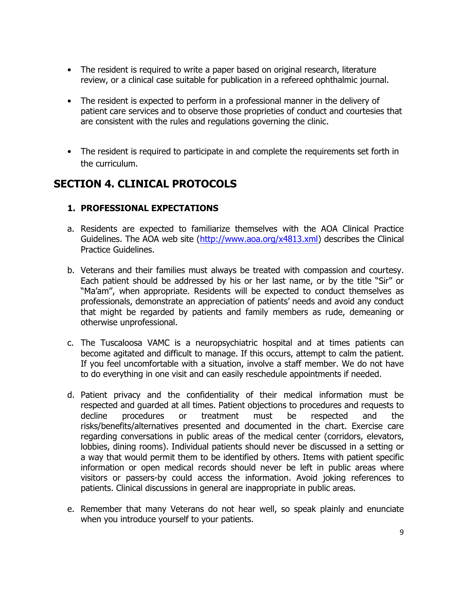- The resident is required to write a paper based on original research, literature review, or a clinical case suitable for publication in a refereed ophthalmic journal.
- The resident is expected to perform in a professional manner in the delivery of patient care services and to observe those proprieties of conduct and courtesies that are consistent with the rules and regulations governing the clinic.
- The resident is required to participate in and complete the requirements set forth in the curriculum.

## **SECTION 4. CLINICAL PROTOCOLS**

### **1. PROFESSIONAL EXPECTATIONS**

- a. Residents are expected to familiarize themselves with the AOA Clinical Practice Guidelines. The AOA web site [\(http://www.aoa.org/x4813.xml\)](http://www.aoa.org/x4813.xml) describes the Clinical Practice Guidelines.
- b. Veterans and their families must always be treated with compassion and courtesy. Each patient should be addressed by his or her last name, or by the title "Sir" or "Ma'am", when appropriate. Residents will be expected to conduct themselves as professionals, demonstrate an appreciation of patients' needs and avoid any conduct that might be regarded by patients and family members as rude, demeaning or otherwise unprofessional.
- c. The Tuscaloosa VAMC is a neuropsychiatric hospital and at times patients can become agitated and difficult to manage. If this occurs, attempt to calm the patient. If you feel uncomfortable with a situation, involve a staff member. We do not have to do everything in one visit and can easily reschedule appointments if needed.
- d. Patient privacy and the confidentiality of their medical information must be respected and guarded at all times. Patient objections to procedures and requests to decline procedures or treatment must be respected and the risks/benefits/alternatives presented and documented in the chart. Exercise care regarding conversations in public areas of the medical center (corridors, elevators, lobbies, dining rooms). Individual patients should never be discussed in a setting or a way that would permit them to be identified by others. Items with patient specific information or open medical records should never be left in public areas where visitors or passers-by could access the information. Avoid joking references to patients. Clinical discussions in general are inappropriate in public areas.
- e. Remember that many Veterans do not hear well, so speak plainly and enunciate when you introduce yourself to your patients.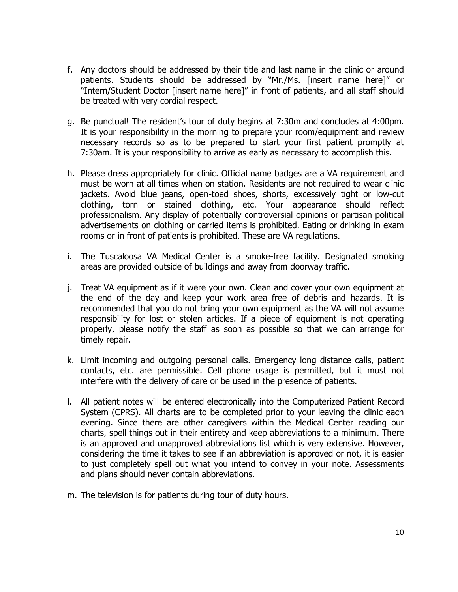- f. Any doctors should be addressed by their title and last name in the clinic or around patients. Students should be addressed by "Mr./Ms. [insert name here]" or "Intern/Student Doctor [insert name here]" in front of patients, and all staff should be treated with very cordial respect.
- g. Be punctual! The resident's tour of duty begins at 7:30m and concludes at 4:00pm. It is your responsibility in the morning to prepare your room/equipment and review necessary records so as to be prepared to start your first patient promptly at 7:30am. It is your responsibility to arrive as early as necessary to accomplish this.
- h. Please dress appropriately for clinic. Official name badges are a VA requirement and must be worn at all times when on station. Residents are not required to wear clinic jackets. Avoid blue jeans, open-toed shoes, shorts, excessively tight or low-cut clothing, torn or stained clothing, etc. Your appearance should reflect professionalism. Any display of potentially controversial opinions or partisan political advertisements on clothing or carried items is prohibited. Eating or drinking in exam rooms or in front of patients is prohibited. These are VA regulations.
- i. The Tuscaloosa VA Medical Center is a smoke-free facility. Designated smoking areas are provided outside of buildings and away from doorway traffic.
- j. Treat VA equipment as if it were your own. Clean and cover your own equipment at the end of the day and keep your work area free of debris and hazards. It is recommended that you do not bring your own equipment as the VA will not assume responsibility for lost or stolen articles. If a piece of equipment is not operating properly, please notify the staff as soon as possible so that we can arrange for timely repair.
- k. Limit incoming and outgoing personal calls. Emergency long distance calls, patient contacts, etc. are permissible. Cell phone usage is permitted, but it must not interfere with the delivery of care or be used in the presence of patients.
- l. All patient notes will be entered electronically into the Computerized Patient Record System (CPRS). All charts are to be completed prior to your leaving the clinic each evening. Since there are other caregivers within the Medical Center reading our charts, spell things out in their entirety and keep abbreviations to a minimum. There is an approved and unapproved abbreviations list which is very extensive. However, considering the time it takes to see if an abbreviation is approved or not, it is easier to just completely spell out what you intend to convey in your note. Assessments and plans should never contain abbreviations.
- m. The television is for patients during tour of duty hours.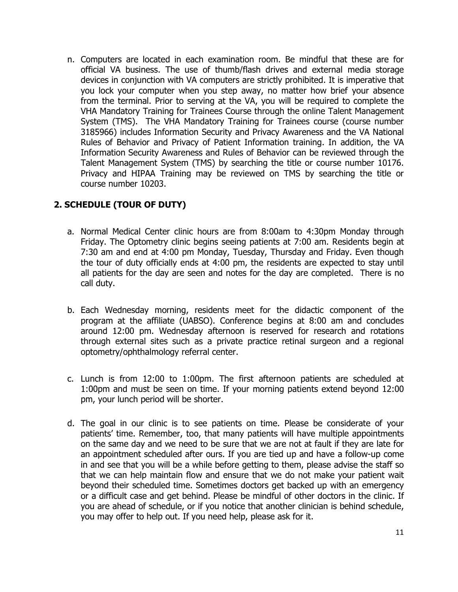n. Computers are located in each examination room. Be mindful that these are for official VA business. The use of thumb/flash drives and external media storage devices in conjunction with VA computers are strictly prohibited. It is imperative that you lock your computer when you step away, no matter how brief your absence from the terminal. Prior to serving at the VA, you will be required to complete the VHA Mandatory Training for Trainees Course through the online Talent Management System (TMS). The VHA Mandatory Training for Trainees course (course number 3185966) includes Information Security and Privacy Awareness and the VA National Rules of Behavior and Privacy of Patient Information training. In addition, the VA Information Security Awareness and Rules of Behavior can be reviewed through the Talent Management System (TMS) by searching the title or course number 10176. Privacy and HIPAA Training may be reviewed on TMS by searching the title or course number 10203.

### **2. SCHEDULE (TOUR OF DUTY)**

- a. Normal Medical Center clinic hours are from 8:00am to 4:30pm Monday through Friday. The Optometry clinic begins seeing patients at 7:00 am. Residents begin at 7:30 am and end at 4:00 pm Monday, Tuesday, Thursday and Friday. Even though the tour of duty officially ends at 4:00 pm, the residents are expected to stay until all patients for the day are seen and notes for the day are completed. There is no call duty.
- b. Each Wednesday morning, residents meet for the didactic component of the program at the affiliate (UABSO). Conference begins at 8:00 am and concludes around 12:00 pm. Wednesday afternoon is reserved for research and rotations through external sites such as a private practice retinal surgeon and a regional optometry/ophthalmology referral center.
- c. Lunch is from 12:00 to 1:00pm. The first afternoon patients are scheduled at 1:00pm and must be seen on time. If your morning patients extend beyond 12:00 pm, your lunch period will be shorter.
- d. The goal in our clinic is to see patients on time. Please be considerate of your patients' time. Remember, too, that many patients will have multiple appointments on the same day and we need to be sure that we are not at fault if they are late for an appointment scheduled after ours. If you are tied up and have a follow-up come in and see that you will be a while before getting to them, please advise the staff so that we can help maintain flow and ensure that we do not make your patient wait beyond their scheduled time. Sometimes doctors get backed up with an emergency or a difficult case and get behind. Please be mindful of other doctors in the clinic. If you are ahead of schedule, or if you notice that another clinician is behind schedule, you may offer to help out. If you need help, please ask for it.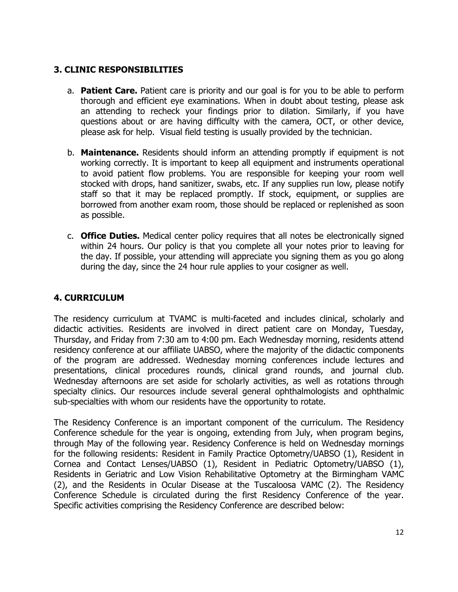### **3. CLINIC RESPONSIBILITIES**

- a. **Patient Care.** Patient care is priority and our goal is for you to be able to perform thorough and efficient eye examinations. When in doubt about testing, please ask an attending to recheck your findings prior to dilation. Similarly, if you have questions about or are having difficulty with the camera, OCT, or other device, please ask for help. Visual field testing is usually provided by the technician.
- b. **Maintenance.** Residents should inform an attending promptly if equipment is not working correctly. It is important to keep all equipment and instruments operational to avoid patient flow problems. You are responsible for keeping your room well stocked with drops, hand sanitizer, swabs, etc. If any supplies run low, please notify staff so that it may be replaced promptly. If stock, equipment, or supplies are borrowed from another exam room, those should be replaced or replenished as soon as possible.
- c. **Office Duties.** Medical center policy requires that all notes be electronically signed within 24 hours. Our policy is that you complete all your notes prior to leaving for the day. If possible, your attending will appreciate you signing them as you go along during the day, since the 24 hour rule applies to your cosigner as well.

## **4. CURRICULUM**

The residency curriculum at TVAMC is multi-faceted and includes clinical, scholarly and didactic activities. Residents are involved in direct patient care on Monday, Tuesday, Thursday, and Friday from 7:30 am to 4:00 pm. Each Wednesday morning, residents attend residency conference at our affiliate UABSO, where the majority of the didactic components of the program are addressed. Wednesday morning conferences include lectures and presentations, clinical procedures rounds, clinical grand rounds, and journal club. Wednesday afternoons are set aside for scholarly activities, as well as rotations through specialty clinics. Our resources include several general ophthalmologists and ophthalmic sub-specialties with whom our residents have the opportunity to rotate.

The Residency Conference is an important component of the curriculum. The Residency Conference schedule for the year is ongoing, extending from July, when program begins, through May of the following year. Residency Conference is held on Wednesday mornings for the following residents: Resident in Family Practice Optometry/UABSO (1), Resident in Cornea and Contact Lenses/UABSO (1), Resident in Pediatric Optometry/UABSO (1), Residents in Geriatric and Low Vision Rehabilitative Optometry at the Birmingham VAMC (2), and the Residents in Ocular Disease at the Tuscaloosa VAMC (2). The Residency Conference Schedule is circulated during the first Residency Conference of the year. Specific activities comprising the Residency Conference are described below: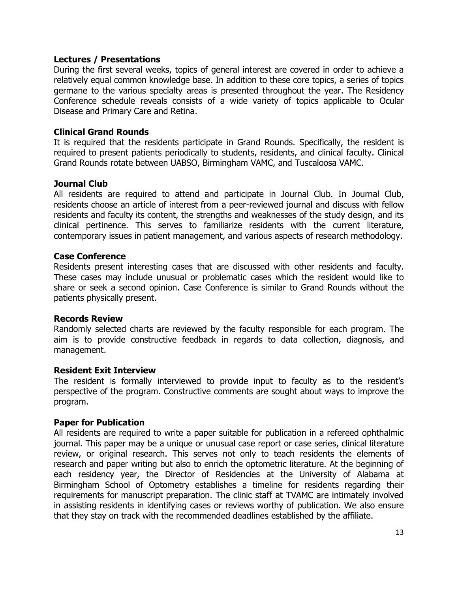#### **Lectures / Presentations**

During the first several weeks, topics of general interest are covered in order to achieve a relatively equal common knowledge base. In addition to these core topics, a series of topics germane to the various specialty areas is presented throughout the year. The Residency Conference schedule reveals consists of a wide variety of topics applicable to Ocular Disease and Primary Care and Retina.

#### **Clinical Grand Rounds**

It is required that the residents participate in Grand Rounds. Specifically, the resident is required to present patients periodically to students, residents, and clinical faculty. Clinical Grand Rounds rotate between UABSO, Birmingham VAMC, and Tuscaloosa VAMC.

#### **Journal Club**

All residents are required to attend and participate in Journal Club. In Journal Club, residents choose an article of interest from a peer-reviewed journal and discuss with fellow residents and faculty its content, the strengths and weaknesses of the study design, and its clinical pertinence. This serves to familiarize residents with the current literature, contemporary issues in patient management, and various aspects of research methodology.

#### **Case Conference**

Residents present interesting cases that are discussed with other residents and faculty. These cases may include unusual or problematic cases which the resident would like to share or seek a second opinion. Case Conference is similar to Grand Rounds without the patients physically present.

#### **Records Review**

Randomly selected charts are reviewed by the faculty responsible for each program. The aim is to provide constructive feedback in regards to data collection, diagnosis, and management.

#### **Resident Exit Interview**

The resident is formally interviewed to provide input to faculty as to the resident's perspective of the program. Constructive comments are sought about ways to improve the program.

#### **Paper for Publication**

All residents are required to write a paper suitable for publication in a refereed ophthalmic journal. This paper may be a unique or unusual case report or case series, clinical literature review, or original research. This serves not only to teach residents the elements of research and paper writing but also to enrich the optometric literature. At the beginning of each residency year, the Director of Residencies at the University of Alabama at Birmingham School of Optometry establishes a timeline for residents regarding their requirements for manuscript preparation. The clinic staff at TVAMC are intimately involved in assisting residents in identifying cases or reviews worthy of publication. We also ensure that they stay on track with the recommended deadlines established by the affiliate.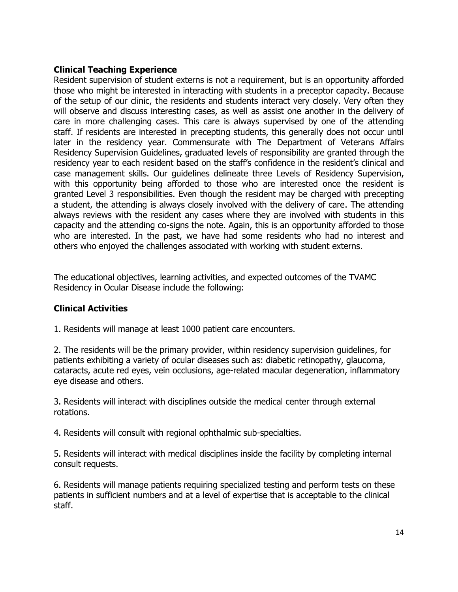#### **Clinical Teaching Experience**

Resident supervision of student externs is not a requirement, but is an opportunity afforded those who might be interested in interacting with students in a preceptor capacity. Because of the setup of our clinic, the residents and students interact very closely. Very often they will observe and discuss interesting cases, as well as assist one another in the delivery of care in more challenging cases. This care is always supervised by one of the attending staff. If residents are interested in precepting students, this generally does not occur until later in the residency year. Commensurate with The Department of Veterans Affairs Residency Supervision Guidelines, graduated levels of responsibility are granted through the residency year to each resident based on the staff's confidence in the resident's clinical and case management skills. Our guidelines delineate three Levels of Residency Supervision, with this opportunity being afforded to those who are interested once the resident is granted Level 3 responsibilities. Even though the resident may be charged with precepting a student, the attending is always closely involved with the delivery of care. The attending always reviews with the resident any cases where they are involved with students in this capacity and the attending co-signs the note. Again, this is an opportunity afforded to those who are interested. In the past, we have had some residents who had no interest and others who enjoyed the challenges associated with working with student externs.

The educational objectives, learning activities, and expected outcomes of the TVAMC Residency in Ocular Disease include the following:

#### **Clinical Activities**

1. Residents will manage at least 1000 patient care encounters.

2. The residents will be the primary provider, within residency supervision guidelines, for patients exhibiting a variety of ocular diseases such as: diabetic retinopathy, glaucoma, cataracts, acute red eyes, vein occlusions, age-related macular degeneration, inflammatory eye disease and others.

3. Residents will interact with disciplines outside the medical center through external rotations.

4. Residents will consult with regional ophthalmic sub-specialties.

5. Residents will interact with medical disciplines inside the facility by completing internal consult requests.

6. Residents will manage patients requiring specialized testing and perform tests on these patients in sufficient numbers and at a level of expertise that is acceptable to the clinical staff.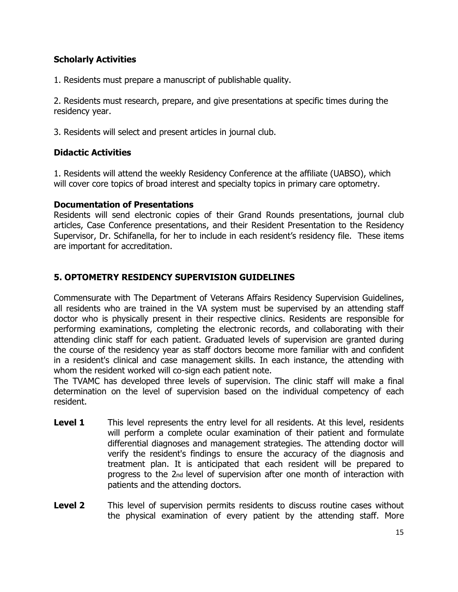## **Scholarly Activities**

1. Residents must prepare a manuscript of publishable quality.

2. Residents must research, prepare, and give presentations at specific times during the residency year.

3. Residents will select and present articles in journal club.

#### **Didactic Activities**

1. Residents will attend the weekly Residency Conference at the affiliate (UABSO), which will cover core topics of broad interest and specialty topics in primary care optometry.

#### **Documentation of Presentations**

Residents will send electronic copies of their Grand Rounds presentations, journal club articles, Case Conference presentations, and their Resident Presentation to the Residency Supervisor, Dr. Schifanella, for her to include in each resident's residency file. These items are important for accreditation.

## **5. OPTOMETRY RESIDENCY SUPERVISION GUIDELINES**

Commensurate with The Department of Veterans Affairs Residency Supervision Guidelines, all residents who are trained in the VA system must be supervised by an attending staff doctor who is physically present in their respective clinics. Residents are responsible for performing examinations, completing the electronic records, and collaborating with their attending clinic staff for each patient. Graduated levels of supervision are granted during the course of the residency year as staff doctors become more familiar with and confident in a resident's clinical and case management skills. In each instance, the attending with whom the resident worked will co-sign each patient note.

The TVAMC has developed three levels of supervision. The clinic staff will make a final determination on the level of supervision based on the individual competency of each resident.

- **Level 1** This level represents the entry level for all residents. At this level, residents will perform a complete ocular examination of their patient and formulate differential diagnoses and management strategies. The attending doctor will verify the resident's findings to ensure the accuracy of the diagnosis and treatment plan. It is anticipated that each resident will be prepared to progress to the 2nd level of supervision after one month of interaction with patients and the attending doctors.
- **Level 2** This level of supervision permits residents to discuss routine cases without the physical examination of every patient by the attending staff. More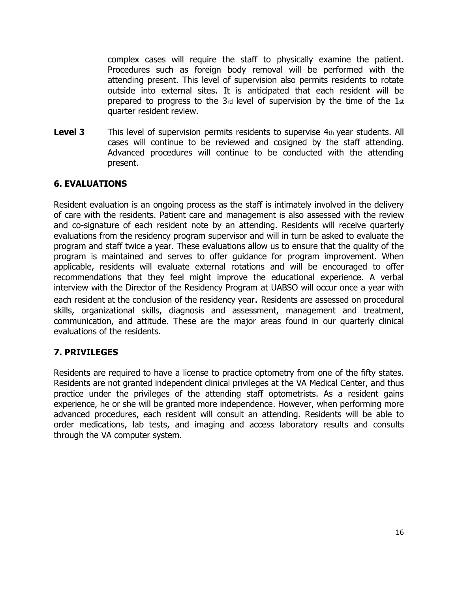complex cases will require the staff to physically examine the patient. Procedures such as foreign body removal will be performed with the attending present. This level of supervision also permits residents to rotate outside into external sites. It is anticipated that each resident will be prepared to progress to the 3rd level of supervision by the time of the 1st quarter resident review.

**Level 3** This level of supervision permits residents to supervise 4th year students. All cases will continue to be reviewed and cosigned by the staff attending. Advanced procedures will continue to be conducted with the attending present.

### **6. EVALUATIONS**

Resident evaluation is an ongoing process as the staff is intimately involved in the delivery of care with the residents. Patient care and management is also assessed with the review and co-signature of each resident note by an attending. Residents will receive quarterly evaluations from the residency program supervisor and will in turn be asked to evaluate the program and staff twice a year. These evaluations allow us to ensure that the quality of the program is maintained and serves to offer guidance for program improvement. When applicable, residents will evaluate external rotations and will be encouraged to offer recommendations that they feel might improve the educational experience. A verbal interview with the Director of the Residency Program at UABSO will occur once a year with each resident at the conclusion of the residency year. Residents are assessed on procedural skills, organizational skills, diagnosis and assessment, management and treatment, communication, and attitude. These are the major areas found in our quarterly clinical evaluations of the residents.

### **7. PRIVILEGES**

Residents are required to have a license to practice optometry from one of the fifty states. Residents are not granted independent clinical privileges at the VA Medical Center, and thus practice under the privileges of the attending staff optometrists. As a resident gains experience, he or she will be granted more independence. However, when performing more advanced procedures, each resident will consult an attending. Residents will be able to order medications, lab tests, and imaging and access laboratory results and consults through the VA computer system.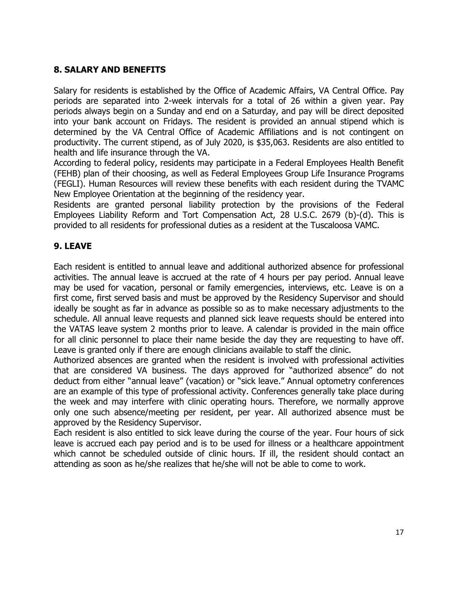### **8. SALARY AND BENEFITS**

Salary for residents is established by the Office of Academic Affairs, VA Central Office. Pay periods are separated into 2-week intervals for a total of 26 within a given year. Pay periods always begin on a Sunday and end on a Saturday, and pay will be direct deposited into your bank account on Fridays. The resident is provided an annual stipend which is determined by the VA Central Office of Academic Affiliations and is not contingent on productivity. The current stipend, as of July 2020, is \$35,063. Residents are also entitled to health and life insurance through the VA.

According to federal policy, residents may participate in a Federal Employees Health Benefit (FEHB) plan of their choosing, as well as Federal Employees Group Life Insurance Programs (FEGLI). Human Resources will review these benefits with each resident during the TVAMC New Employee Orientation at the beginning of the residency year.

Residents are granted personal liability protection by the provisions of the Federal Employees Liability Reform and Tort Compensation Act, 28 U.S.C. 2679 (b)-(d). This is provided to all residents for professional duties as a resident at the Tuscaloosa VAMC.

## **9. LEAVE**

Each resident is entitled to annual leave and additional authorized absence for professional activities. The annual leave is accrued at the rate of 4 hours per pay period. Annual leave may be used for vacation, personal or family emergencies, interviews, etc. Leave is on a first come, first served basis and must be approved by the Residency Supervisor and should ideally be sought as far in advance as possible so as to make necessary adjustments to the schedule. All annual leave requests and planned sick leave requests should be entered into the VATAS leave system 2 months prior to leave. A calendar is provided in the main office for all clinic personnel to place their name beside the day they are requesting to have off. Leave is granted only if there are enough clinicians available to staff the clinic.

Authorized absences are granted when the resident is involved with professional activities that are considered VA business. The days approved for "authorized absence" do not deduct from either "annual leave" (vacation) or "sick leave." Annual optometry conferences are an example of this type of professional activity. Conferences generally take place during the week and may interfere with clinic operating hours. Therefore, we normally approve only one such absence/meeting per resident, per year. All authorized absence must be approved by the Residency Supervisor.

Each resident is also entitled to sick leave during the course of the year. Four hours of sick leave is accrued each pay period and is to be used for illness or a healthcare appointment which cannot be scheduled outside of clinic hours. If ill, the resident should contact an attending as soon as he/she realizes that he/she will not be able to come to work.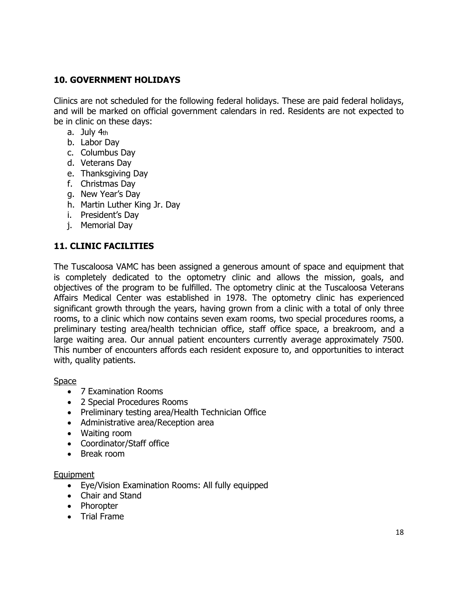### **10. GOVERNMENT HOLIDAYS**

Clinics are not scheduled for the following federal holidays. These are paid federal holidays, and will be marked on official government calendars in red. Residents are not expected to be in clinic on these days:

- a. July 4th
- b. Labor Day
- c. Columbus Day
- d. Veterans Day
- e. Thanksgiving Day
- f. Christmas Day
- g. New Year's Day
- h. Martin Luther King Jr. Day
- i. President's Day
- j. Memorial Day

#### **11. CLINIC FACILITIES**

The Tuscaloosa VAMC has been assigned a generous amount of space and equipment that is completely dedicated to the optometry clinic and allows the mission, goals, and objectives of the program to be fulfilled. The optometry clinic at the Tuscaloosa Veterans Affairs Medical Center was established in 1978. The optometry clinic has experienced significant growth through the years, having grown from a clinic with a total of only three rooms, to a clinic which now contains seven exam rooms, two special procedures rooms, a preliminary testing area/health technician office, staff office space, a breakroom, and a large waiting area. Our annual patient encounters currently average approximately 7500. This number of encounters affords each resident exposure to, and opportunities to interact with, quality patients.

#### Space

- 7 Examination Rooms
- 2 Special Procedures Rooms
- Preliminary testing area/Health Technician Office
- Administrative area/Reception area
- Waiting room
- Coordinator/Staff office
- Break room

#### Equipment

- Eye/Vision Examination Rooms: All fully equipped
- Chair and Stand
- Phoropter
- Trial Frame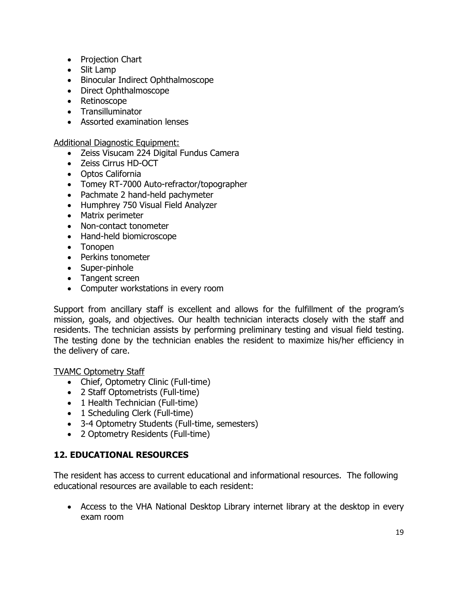- Projection Chart
- Slit Lamp
- Binocular Indirect Ophthalmoscope
- Direct Ophthalmoscope
- Retinoscope
- Transilluminator
- Assorted examination lenses

#### Additional Diagnostic Equipment:

- Zeiss Visucam 224 Digital Fundus Camera
- Zeiss Cirrus HD-OCT
- Optos California
- Tomey RT-7000 Auto-refractor/topographer
- Pachmate 2 hand-held pachymeter
- Humphrey 750 Visual Field Analyzer
- Matrix perimeter
- Non-contact tonometer
- Hand-held biomicroscope
- Tonopen
- Perkins tonometer
- Super-pinhole
- Tangent screen
- Computer workstations in every room

Support from ancillary staff is excellent and allows for the fulfillment of the program's mission, goals, and objectives. Our health technician interacts closely with the staff and residents. The technician assists by performing preliminary testing and visual field testing. The testing done by the technician enables the resident to maximize his/her efficiency in the delivery of care.

#### TVAMC Optometry Staff

- Chief, Optometry Clinic (Full-time)
- 2 Staff Optometrists (Full-time)
- 1 Health Technician (Full-time)
- 1 Scheduling Clerk (Full-time)
- 3-4 Optometry Students (Full-time, semesters)
- 2 Optometry Residents (Full-time)

### **12. EDUCATIONAL RESOURCES**

The resident has access to current educational and informational resources. The following educational resources are available to each resident:

• Access to the VHA National Desktop Library internet library at the desktop in every exam room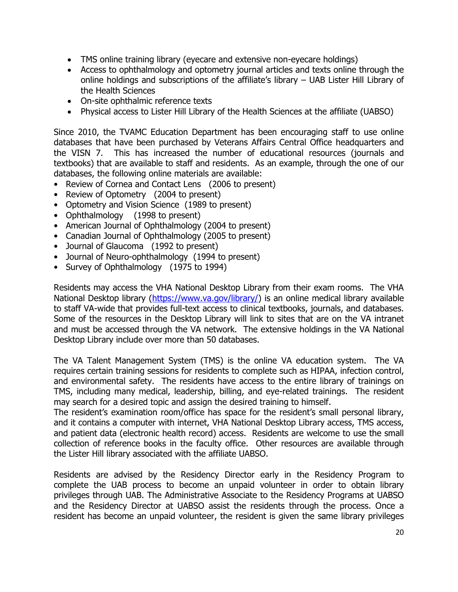- TMS online training library (eyecare and extensive non-eyecare holdings)
- Access to ophthalmology and optometry journal articles and texts online through the online holdings and subscriptions of the affiliate's library – UAB Lister Hill Library of the Health Sciences
- On-site ophthalmic reference texts
- Physical access to Lister Hill Library of the Health Sciences at the affiliate (UABSO)

Since 2010, the TVAMC Education Department has been encouraging staff to use online databases that have been purchased by Veterans Affairs Central Office headquarters and the VISN 7. This has increased the number of educational resources (journals and textbooks) that are available to staff and residents. As an example, through the one of our databases, the following online materials are available:

- Review of Cornea and Contact Lens (2006 to present)
- Review of Optometry (2004 to present)
- Optometry and Vision Science (1989 to present)
- Ophthalmology (1998 to present)
- American Journal of Ophthalmology (2004 to present)
- Canadian Journal of Ophthalmology (2005 to present)
- Journal of Glaucoma (1992 to present)
- Journal of Neuro-ophthalmology (1994 to present)
- Survey of Ophthalmology (1975 to 1994)

Residents may access the VHA National Desktop Library from their exam rooms. The VHA National Desktop library [\(https://www.va.gov/library/\)](https://www.va.gov/library/) is an online medical library available to staff VA-wide that provides full-text access to clinical textbooks, journals, and databases. Some of the resources in the Desktop Library will link to sites that are on the VA intranet and must be accessed through the VA network. The extensive holdings in the VA National Desktop Library include over more than 50 databases.

The VA Talent Management System (TMS) is the online VA education system. The VA requires certain training sessions for residents to complete such as HIPAA, infection control, and environmental safety. The residents have access to the entire library of trainings on TMS, including many medical, leadership, billing, and eye-related trainings. The resident may search for a desired topic and assign the desired training to himself.

The resident's examination room/office has space for the resident's small personal library, and it contains a computer with internet, VHA National Desktop Library access, TMS access, and patient data (electronic health record) access. Residents are welcome to use the small collection of reference books in the faculty office. Other resources are available through the Lister Hill library associated with the affiliate UABSO.

Residents are advised by the Residency Director early in the Residency Program to complete the UAB process to become an unpaid volunteer in order to obtain library privileges through UAB. The Administrative Associate to the Residency Programs at UABSO and the Residency Director at UABSO assist the residents through the process. Once a resident has become an unpaid volunteer, the resident is given the same library privileges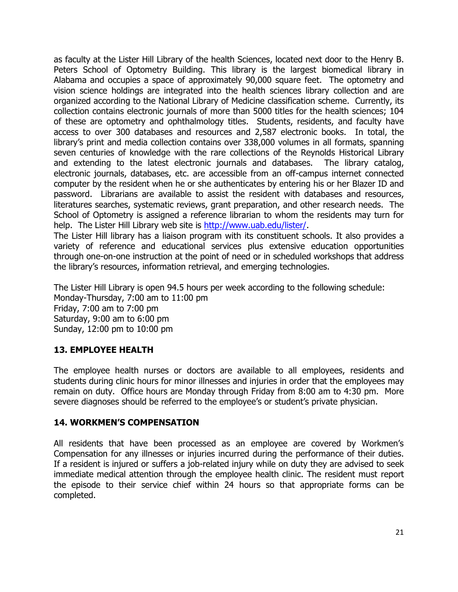as faculty at the Lister Hill Library of the health Sciences, located next door to the Henry B. Peters School of Optometry Building. This library is the largest biomedical library in Alabama and occupies a space of approximately 90,000 square feet. The optometry and vision science holdings are integrated into the health sciences library collection and are organized according to the National Library of Medicine classification scheme. Currently, its collection contains electronic journals of more than 5000 titles for the health sciences; 104 of these are optometry and ophthalmology titles. Students, residents, and faculty have access to over 300 databases and resources and 2,587 electronic books. In total, the library's print and media collection contains over 338,000 volumes in all formats, spanning seven centuries of knowledge with the rare collections of the Reynolds Historical Library and extending to the latest electronic journals and databases. The library catalog, electronic journals, databases, etc. are accessible from an off-campus internet connected computer by the resident when he or she authenticates by entering his or her Blazer ID and password. Librarians are available to assist the resident with databases and resources, literatures searches, systematic reviews, grant preparation, and other research needs. The School of Optometry is assigned a reference librarian to whom the residents may turn for help. The Lister Hill Library web site is [http://www.uab.edu/lister/.](http://www.uab.edu/lister/)

The Lister Hill library has a liaison program with its constituent schools. It also provides a variety of reference and educational services plus extensive education opportunities through one-on-one instruction at the point of need or in scheduled workshops that address the library's resources, information retrieval, and emerging technologies.

The Lister Hill Library is open 94.5 hours per week according to the following schedule: Monday-Thursday, 7:00 am to 11:00 pm Friday, 7:00 am to 7:00 pm Saturday, 9:00 am to 6:00 pm Sunday, 12:00 pm to 10:00 pm

### **13. EMPLOYEE HEALTH**

The employee health nurses or doctors are available to all employees, residents and students during clinic hours for minor illnesses and injuries in order that the employees may remain on duty. Office hours are Monday through Friday from 8:00 am to 4:30 pm. More severe diagnoses should be referred to the employee's or student's private physician.

#### **14. WORKMEN'S COMPENSATION**

All residents that have been processed as an employee are covered by Workmen's Compensation for any illnesses or injuries incurred during the performance of their duties. If a resident is injured or suffers a job-related injury while on duty they are advised to seek immediate medical attention through the employee health clinic. The resident must report the episode to their service chief within 24 hours so that appropriate forms can be completed.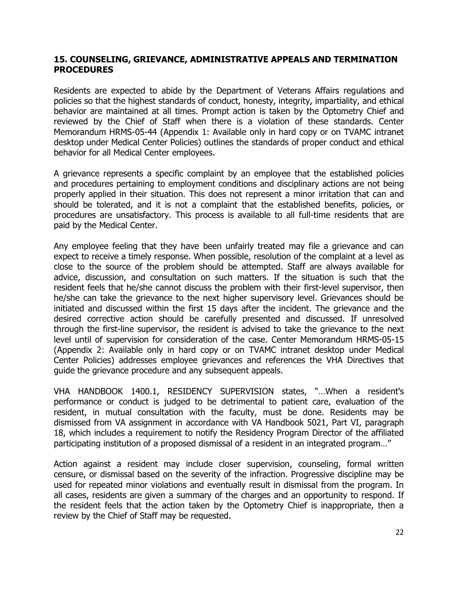#### **15. COUNSELING, GRIEVANCE, ADMINISTRATIVE APPEALS AND TERMINATION PROCEDURES**

Residents are expected to abide by the Department of Veterans Affairs regulations and policies so that the highest standards of conduct, honesty, integrity, impartiality, and ethical behavior are maintained at all times. Prompt action is taken by the Optometry Chief and reviewed by the Chief of Staff when there is a violation of these standards. Center Memorandum HRMS-05-44 (Appendix 1: Available only in hard copy or on TVAMC intranet desktop under Medical Center Policies) outlines the standards of proper conduct and ethical behavior for all Medical Center employees.

A grievance represents a specific complaint by an employee that the established policies and procedures pertaining to employment conditions and disciplinary actions are not being properly applied in their situation. This does not represent a minor irritation that can and should be tolerated, and it is not a complaint that the established benefits, policies, or procedures are unsatisfactory. This process is available to all full-time residents that are paid by the Medical Center.

Any employee feeling that they have been unfairly treated may file a grievance and can expect to receive a timely response. When possible, resolution of the complaint at a level as close to the source of the problem should be attempted. Staff are always available for advice, discussion, and consultation on such matters. If the situation is such that the resident feels that he/she cannot discuss the problem with their first-level supervisor, then he/she can take the grievance to the next higher supervisory level. Grievances should be initiated and discussed within the first 15 days after the incident. The grievance and the desired corrective action should be carefully presented and discussed. If unresolved through the first-line supervisor, the resident is advised to take the grievance to the next level until of supervision for consideration of the case. Center Memorandum HRMS-05-15 (Appendix 2: Available only in hard copy or on TVAMC intranet desktop under Medical Center Policies) addresses employee grievances and references the VHA Directives that guide the grievance procedure and any subsequent appeals.

VHA HANDBOOK 1400.1, RESIDENCY SUPERVISION states, "…When a resident's performance or conduct is judged to be detrimental to patient care, evaluation of the resident, in mutual consultation with the faculty, must be done. Residents may be dismissed from VA assignment in accordance with VA Handbook 5021, Part VI, paragraph 18, which includes a requirement to notify the Residency Program Director of the affiliated participating institution of a proposed dismissal of a resident in an integrated program…"

Action against a resident may include closer supervision, counseling, formal written censure, or dismissal based on the severity of the infraction. Progressive discipline may be used for repeated minor violations and eventually result in dismissal from the program. In all cases, residents are given a summary of the charges and an opportunity to respond. If the resident feels that the action taken by the Optometry Chief is inappropriate, then a review by the Chief of Staff may be requested.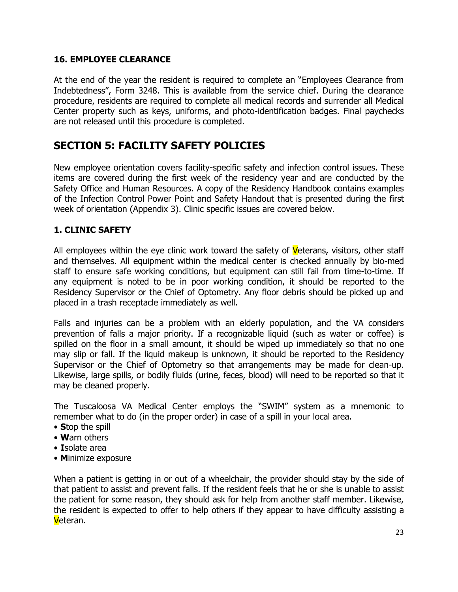#### **16. EMPLOYEE CLEARANCE**

At the end of the year the resident is required to complete an "Employees Clearance from Indebtedness", Form 3248. This is available from the service chief. During the clearance procedure, residents are required to complete all medical records and surrender all Medical Center property such as keys, uniforms, and photo-identification badges. Final paychecks are not released until this procedure is completed.

## **SECTION 5: FACILITY SAFETY POLICIES**

New employee orientation covers facility-specific safety and infection control issues. These items are covered during the first week of the residency year and are conducted by the Safety Office and Human Resources. A copy of the Residency Handbook contains examples of the Infection Control Power Point and Safety Handout that is presented during the first week of orientation (Appendix 3). Clinic specific issues are covered below.

### **1. CLINIC SAFETY**

All employees within the eye clinic work toward the safety of Veterans, visitors, other staff and themselves. All equipment within the medical center is checked annually by bio-med staff to ensure safe working conditions, but equipment can still fail from time-to-time. If any equipment is noted to be in poor working condition, it should be reported to the Residency Supervisor or the Chief of Optometry. Any floor debris should be picked up and placed in a trash receptacle immediately as well.

Falls and injuries can be a problem with an elderly population, and the VA considers prevention of falls a major priority. If a recognizable liquid (such as water or coffee) is spilled on the floor in a small amount, it should be wiped up immediately so that no one may slip or fall. If the liquid makeup is unknown, it should be reported to the Residency Supervisor or the Chief of Optometry so that arrangements may be made for clean-up. Likewise, large spills, or bodily fluids (urine, feces, blood) will need to be reported so that it may be cleaned properly.

The Tuscaloosa VA Medical Center employs the "SWIM" system as a mnemonic to remember what to do (in the proper order) in case of a spill in your local area.

- **S**top the spill
- **W**arn others
- **I**solate area
- **M**inimize exposure

When a patient is getting in or out of a wheelchair, the provider should stay by the side of that patient to assist and prevent falls. If the resident feels that he or she is unable to assist the patient for some reason, they should ask for help from another staff member. Likewise, the resident is expected to offer to help others if they appear to have difficulty assisting a Veteran.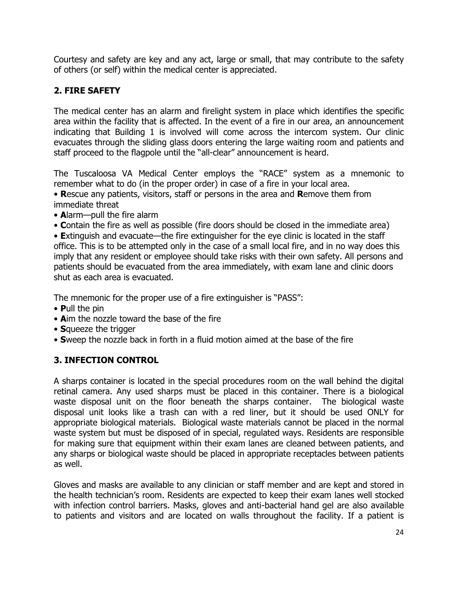Courtesy and safety are key and any act, large or small, that may contribute to the safety of others (or self) within the medical center is appreciated.

## **2. FIRE SAFETY**

The medical center has an alarm and firelight system in place which identifies the specific area within the facility that is affected. In the event of a fire in our area, an announcement indicating that Building 1 is involved will come across the intercom system. Our clinic evacuates through the sliding glass doors entering the large waiting room and patients and staff proceed to the flagpole until the "all-clear" announcement is heard.

The Tuscaloosa VA Medical Center employs the "RACE" system as a mnemonic to remember what to do (in the proper order) in case of a fire in your local area.

• **R**escue any patients, visitors, staff or persons in the area and **R**emove them from immediate threat

- **A**larm—pull the fire alarm
- **C**ontain the fire as well as possible (fire doors should be closed in the immediate area)

• **E**xtinguish and evacuate—the fire extinguisher for the eye clinic is located in the staff office. This is to be attempted only in the case of a small local fire, and in no way does this imply that any resident or employee should take risks with their own safety. All persons and patients should be evacuated from the area immediately, with exam lane and clinic doors shut as each area is evacuated.

The mnemonic for the proper use of a fire extinguisher is "PASS":

- **P**ull the pin
- **A**im the nozzle toward the base of the fire
- **S**queeze the trigger
- **S**weep the nozzle back in forth in a fluid motion aimed at the base of the fire

## **3. INFECTION CONTROL**

A sharps container is located in the special procedures room on the wall behind the digital retinal camera. Any used sharps must be placed in this container. There is a biological waste disposal unit on the floor beneath the sharps container. The biological waste disposal unit looks like a trash can with a red liner, but it should be used ONLY for appropriate biological materials. Biological waste materials cannot be placed in the normal waste system but must be disposed of in special, regulated ways. Residents are responsible for making sure that equipment within their exam lanes are cleaned between patients, and any sharps or biological waste should be placed in appropriate receptacles between patients as well.

Gloves and masks are available to any clinician or staff member and are kept and stored in the health technician's room. Residents are expected to keep their exam lanes well stocked with infection control barriers. Masks, gloves and anti-bacterial hand gel are also available to patients and visitors and are located on walls throughout the facility. If a patient is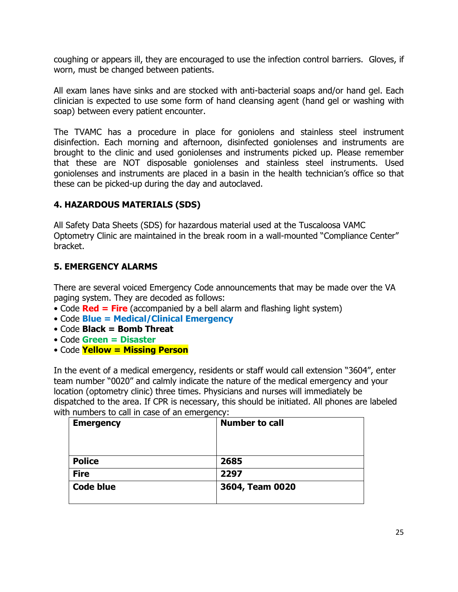coughing or appears ill, they are encouraged to use the infection control barriers. Gloves, if worn, must be changed between patients.

All exam lanes have sinks and are stocked with anti-bacterial soaps and/or hand gel. Each clinician is expected to use some form of hand cleansing agent (hand gel or washing with soap) between every patient encounter.

The TVAMC has a procedure in place for goniolens and stainless steel instrument disinfection. Each morning and afternoon, disinfected goniolenses and instruments are brought to the clinic and used goniolenses and instruments picked up. Please remember that these are NOT disposable goniolenses and stainless steel instruments. Used goniolenses and instruments are placed in a basin in the health technician's office so that these can be picked-up during the day and autoclaved.

## **4. HAZARDOUS MATERIALS (SDS)**

All Safety Data Sheets (SDS) for hazardous material used at the Tuscaloosa VAMC Optometry Clinic are maintained in the break room in a wall-mounted "Compliance Center" bracket.

## **5. EMERGENCY ALARMS**

There are several voiced Emergency Code announcements that may be made over the VA paging system. They are decoded as follows:

- Code **Red = Fire** (accompanied by a bell alarm and flashing light system)
- Code **Blue = Medical/Clinical Emergency**
- Code **Black = Bomb Threat**
- Code **Green = Disaster**
- Code **Yellow = Missing Person**

In the event of a medical emergency, residents or staff would call extension "3604", enter team number "0020" and calmly indicate the nature of the medical emergency and your location (optometry clinic) three times. Physicians and nurses will immediately be dispatched to the area. If CPR is necessary, this should be initiated. All phones are labeled with numbers to call in case of an emergency:

| <b>Emergency</b> | <b>Number to call</b> |
|------------------|-----------------------|
|                  |                       |
|                  |                       |
| <b>Police</b>    | 2685                  |
| <b>Fire</b>      | 2297                  |
| <b>Code blue</b> | 3604, Team 0020       |
|                  |                       |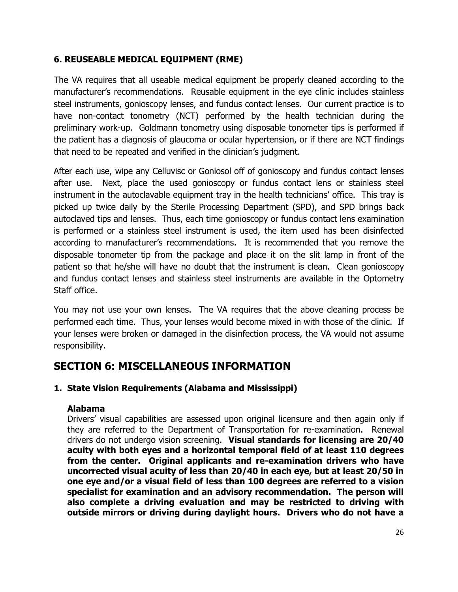## **6. REUSEABLE MEDICAL EQUIPMENT (RME)**

The VA requires that all useable medical equipment be properly cleaned according to the manufacturer's recommendations. Reusable equipment in the eye clinic includes stainless steel instruments, gonioscopy lenses, and fundus contact lenses. Our current practice is to have non-contact tonometry (NCT) performed by the health technician during the preliminary work-up. Goldmann tonometry using disposable tonometer tips is performed if the patient has a diagnosis of glaucoma or ocular hypertension, or if there are NCT findings that need to be repeated and verified in the clinician's judgment.

After each use, wipe any Celluvisc or Goniosol off of gonioscopy and fundus contact lenses after use. Next, place the used gonioscopy or fundus contact lens or stainless steel instrument in the autoclavable equipment tray in the health technicians' office. This tray is picked up twice daily by the Sterile Processing Department (SPD), and SPD brings back autoclaved tips and lenses. Thus, each time gonioscopy or fundus contact lens examination is performed or a stainless steel instrument is used, the item used has been disinfected according to manufacturer's recommendations. It is recommended that you remove the disposable tonometer tip from the package and place it on the slit lamp in front of the patient so that he/she will have no doubt that the instrument is clean. Clean gonioscopy and fundus contact lenses and stainless steel instruments are available in the Optometry Staff office.

You may not use your own lenses. The VA requires that the above cleaning process be performed each time. Thus, your lenses would become mixed in with those of the clinic. If your lenses were broken or damaged in the disinfection process, the VA would not assume responsibility.

## **SECTION 6: MISCELLANEOUS INFORMATION**

## **1. State Vision Requirements (Alabama and Mississippi)**

#### **Alabama**

Drivers' visual capabilities are assessed upon original licensure and then again only if they are referred to the Department of Transportation for re-examination. Renewal drivers do not undergo vision screening. **Visual standards for licensing are 20/40 acuity with both eyes and a horizontal temporal field of at least 110 degrees from the center. Original applicants and re-examination drivers who have uncorrected visual acuity of less than 20/40 in each eye, but at least 20/50 in one eye and/or a visual field of less than 100 degrees are referred to a vision specialist for examination and an advisory recommendation. The person will also complete a driving evaluation and may be restricted to driving with outside mirrors or driving during daylight hours. Drivers who do not have a**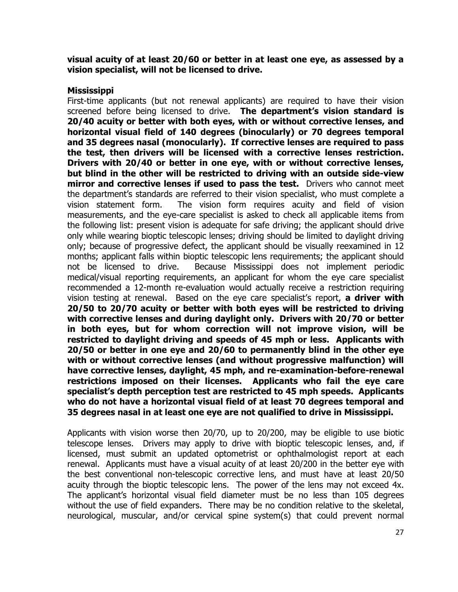**visual acuity of at least 20/60 or better in at least one eye, as assessed by a vision specialist, will not be licensed to drive.**

#### **Mississippi**

First-time applicants (but not renewal applicants) are required to have their vision screened before being licensed to drive. **The department's vision standard is 20/40 acuity or better with both eyes, with or without corrective lenses, and horizontal visual field of 140 degrees (binocularly) or 70 degrees temporal and 35 degrees nasal (monocularly). If corrective lenses are required to pass the test, then drivers will be licensed with a corrective lenses restriction. Drivers with 20/40 or better in one eye, with or without corrective lenses, but blind in the other will be restricted to driving with an outside side-view mirror and corrective lenses if used to pass the test.** Drivers who cannot meet the department's standards are referred to their vision specialist, who must complete a vision statement form. The vision form requires acuity and field of vision measurements, and the eye-care specialist is asked to check all applicable items from the following list: present vision is adequate for safe driving; the applicant should drive only while wearing bioptic telescopic lenses; driving should be limited to daylight driving only; because of progressive defect, the applicant should be visually reexamined in 12 months; applicant falls within bioptic telescopic lens requirements; the applicant should not be licensed to drive. Because Mississippi does not implement periodic medical/visual reporting requirements, an applicant for whom the eye care specialist recommended a 12-month re-evaluation would actually receive a restriction requiring vision testing at renewal. Based on the eye care specialist's report, **a driver with 20/50 to 20/70 acuity or better with both eyes will be restricted to driving with corrective lenses and during daylight only. Drivers with 20/70 or better in both eyes, but for whom correction will not improve vision, will be restricted to daylight driving and speeds of 45 mph or less. Applicants with 20/50 or better in one eye and 20/60 to permanently blind in the other eye with or without corrective lenses (and without progressive malfunction) will have corrective lenses, daylight, 45 mph, and re-examination-before-renewal restrictions imposed on their licenses. Applicants who fail the eye care specialist's depth perception test are restricted to 45 mph speeds. Applicants who do not have a horizontal visual field of at least 70 degrees temporal and 35 degrees nasal in at least one eye are not qualified to drive in Mississippi.**

Applicants with vision worse then 20/70, up to 20/200, may be eligible to use biotic telescope lenses. Drivers may apply to drive with bioptic telescopic lenses, and, if licensed, must submit an updated optometrist or ophthalmologist report at each renewal. Applicants must have a visual acuity of at least 20/200 in the better eye with the best conventional non-telescopic corrective lens, and must have at least 20/50 acuity through the bioptic telescopic lens. The power of the lens may not exceed 4x. The applicant's horizontal visual field diameter must be no less than 105 degrees without the use of field expanders. There may be no condition relative to the skeletal, neurological, muscular, and/or cervical spine system(s) that could prevent normal